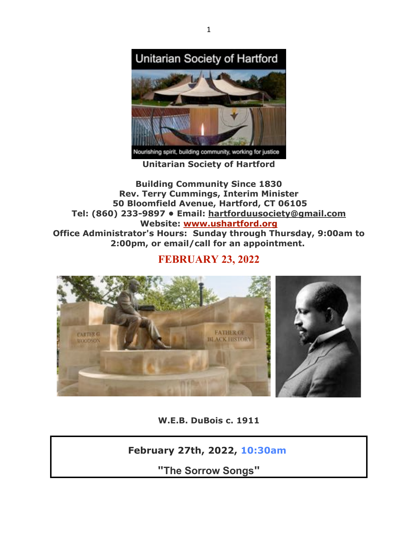

**Unitarian Society of Hartford**

**Building Community Since 1830 Rev. Terry Cummings, Interim Minister 50 Bloomfield Avenue, Hartford, CT 06105 Tel: (860) 233-9897 • Email: hartforduusociety@gmail.com Website: www.ushartford.org Office Administrator's Hours: Sunday through Thursday, 9:00am to 2:00pm, or email/call for an appointment.**

**FEBRUARY 23, 2022**



**W.E.B. DuBois c. 1911**

# **February 27th, 2022, 10:30am**

**"The Sorrow Songs"**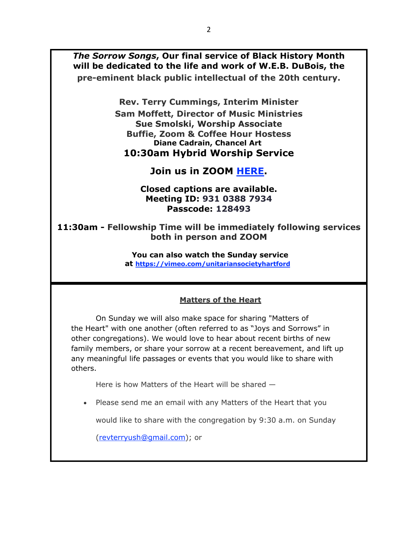*The Sorrow Songs***, Our final service of Black History Month will be dedicated to the life and work of W.E.B. DuBois, the pre-eminent black public intellectual of the 20th century.**

**Rev. Terry Cummings, Interim Minister**

**Sam Moffett, Director of Music Ministries Sue Smolski, Worship Associate Buffie, Zoom & Coffee Hour Hostess Diane Cadrain, Chancel Art 10:30am Hybrid Worship Service**

# **Join us in ZOOM HERE.**

#### **Closed captions are available. Meeting ID: 931 0388 7934 Passcode: 128493**

**11:30am - Fellowship Time will be immediately following services both in person and ZOOM**

> **You can also watch the Sunday service at https://vimeo.com/unitariansocietyhartford**

#### **Matters of the Heart**

On Sunday we will also make space for sharing "Matters of the Heart" with one another (often referred to as "Joys and Sorrows" in other congregations). We would love to hear about recent births of new family members, or share your sorrow at a recent bereavement, and lift up any meaningful life passages or events that you would like to share with others.

Here is how Matters of the Heart will be shared —

• Please send me an email with any Matters of the Heart that you

would like to share with the congregation by 9:30 a.m. on Sunday

(revterryush@gmail.com); or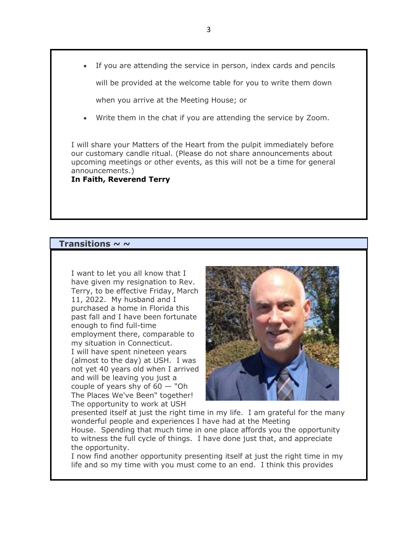• If you are attending the service in person, index cards and pencils

will be provided at the welcome table for you to write them down

when you arrive at the Meeting House; or

Write them in the chat if you are attending the service by Zoom.

I will share your Matters of the Heart from the pulpit immediately before our customary candle ritual. (Please do not share announcements about upcoming meetings or other events, as this will not be a time for general announcements.)

**In Faith, Reverend Terry**

#### **Transitions ~ ~**

I want to let you all know that I have given my resignation to Rev. Terry, to be effective Friday, March 11, 2022. My husband and I purchased a home in Florida this past fall and I have been fortunate enough to find full-time employment there, comparable to my situation in Connecticut. I will have spent nineteen years (almost to the day) at USH. I was not yet 40 years old when I arrived and will be leaving you just a couple of years shy of  $60 -$  "Oh The Places We've Been" together! The opportunity to work at USH



presented itself at just the right time in my life. I am grateful for the many wonderful people and experiences I have had at the Meeting House. Spending that much time in one place affords you the opportunity to witness the full cycle of things. I have done just that, and appreciate the opportunity.

I now find another opportunity presenting itself at just the right time in my life and so my time with you must come to an end. I think this provides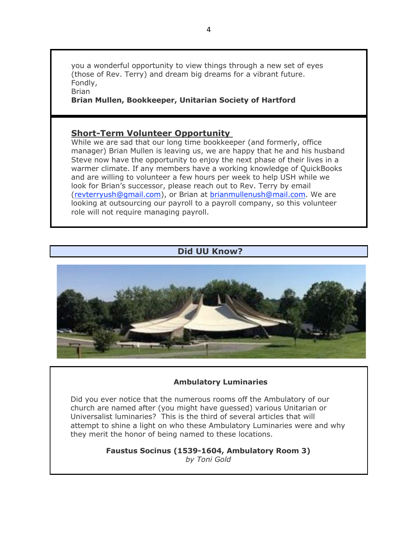you a wonderful opportunity to view things through a new set of eyes (those of Rev. Terry) and dream big dreams for a vibrant future. Fondly, Brian

**Brian Mullen, Bookkeeper, Unitarian Society of Hartford**

#### **Short-Term Volunteer Opportunity**

While we are sad that our long time bookkeeper (and formerly, office manager) Brian Mullen is leaving us, we are happy that he and his husband Steve now have the opportunity to enjoy the next phase of their lives in a warmer climate. If any members have a working knowledge of QuickBooks and are willing to volunteer a few hours per week to help USH while we look for Brian's successor, please reach out to Rev. Terry by email (revterryush@gmail.com), or Brian at brianmullenush@mail.com. We are looking at outsourcing our payroll to a payroll company, so this volunteer role will not require managing payroll.

#### **Did UU Know?**



#### **Ambulatory Luminaries**

Did you ever notice that the numerous rooms off the Ambulatory of our church are named after (you might have guessed) various Unitarian or Universalist luminaries? This is the third of several articles that will attempt to shine a light on who these Ambulatory Luminaries were and why they merit the honor of being named to these locations.

> **Faustus Socinus (1539-1604, Ambulatory Room 3)** *by Toni Gold*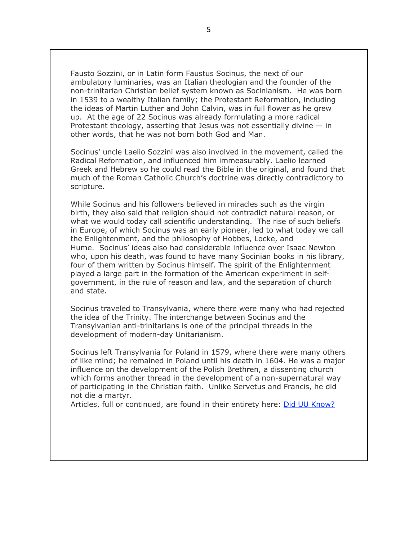Fausto Sozzini, or in Latin form Faustus Socinus, the next of our ambulatory luminaries, was an Italian theologian and the founder of the non-trinitarian Christian belief system known as Socinianism. He was born in 1539 to a wealthy Italian family; the Protestant Reformation, including the ideas of Martin Luther and John Calvin, was in full flower as he grew up. At the age of 22 Socinus was already formulating a more radical Protestant theology, asserting that Jesus was not essentially divine  $-$  in other words, that he was not born both God and Man.

Socinus' uncle Laelio Sozzini was also involved in the movement, called the Radical Reformation, and influenced him immeasurably. Laelio learned Greek and Hebrew so he could read the Bible in the original, and found that much of the Roman Catholic Church's doctrine was directly contradictory to scripture.

While Socinus and his followers believed in miracles such as the virgin birth, they also said that religion should not contradict natural reason, or what we would today call scientific understanding. The rise of such beliefs in Europe, of which Socinus was an early pioneer, led to what today we call the Enlightenment, and the philosophy of Hobbes, Locke, and Hume. Socinus' ideas also had considerable influence over Isaac Newton who, upon his death, was found to have many Socinian books in his library, four of them written by Socinus himself. The spirit of the Enlightenment played a large part in the formation of the American experiment in selfgovernment, in the rule of reason and law, and the separation of church and state.

Socinus traveled to Transylvania, where there were many who had rejected the idea of the Trinity. The interchange between Socinus and the Transylvanian anti-trinitarians is one of the principal threads in the development of modern-day Unitarianism.

Socinus left Transylvania for Poland in 1579, where there were many others of like mind; he remained in Poland until his death in 1604. He was a major influence on the development of the Polish Brethren, a dissenting church which forms another thread in the development of a non-supernatural way of participating in the Christian faith. Unlike Servetus and Francis, he did not die a martyr.

Articles, full or continued, are found in their entirety here: Did UU Know?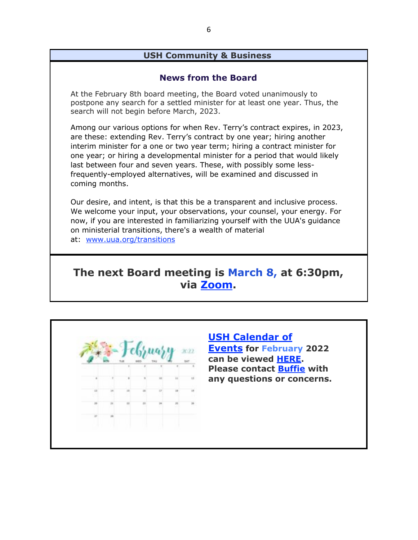### **USH Community & Business**

#### **News from the Board**

At the February 8th board meeting, the Board voted unanimously to postpone any search for a settled minister for at least one year. Thus, the search will not begin before March, 2023.

Among our various options for when Rev. Terry's contract expires, in 2023, are these: extending Rev. Terry's contract by one year; hiring another interim minister for a one or two year term; hiring a contract minister for one year; or hiring a developmental minister for a period that would likely last between four and seven years. These, with possibly some lessfrequently-employed alternatives, will be examined and discussed in coming months.

Our desire, and intent, is that this be a transparent and inclusive process. We welcome your input, your observations, your counsel, your energy. For now, if you are interested in familiarizing yourself with the UUA's guidance on ministerial transitions, there's a wealth of material at: www.uua.org/transitions

# **The next Board meeting is March 8, at 6:30pm, via Zoom.**

|         |    |  | THU |    |   |
|---------|----|--|-----|----|---|
|         |    |  |     | 11 | ш |
|         |    |  | D   |    |   |
|         | и  |  |     |    |   |
| $^{10}$ | 34 |  |     |    |   |

**USH Calendar of Events for February 2022 can be viewed HERE. Please contact Buffie with any questions or concerns.**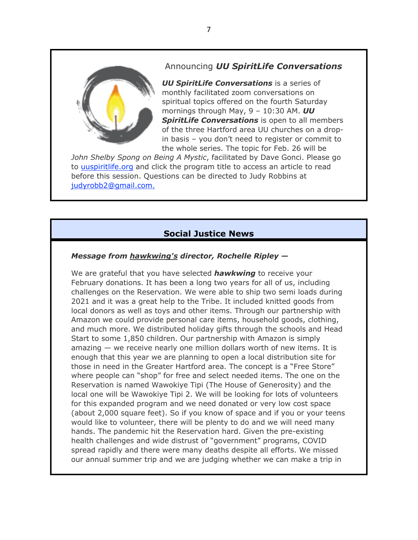# Announcing *UU SpiritLife Conversations*



*UU SpiritLife Conversations* is a series of monthly facilitated zoom conversations on spiritual topics offered on the fourth Saturday mornings through May, 9 – 10:30 AM. *UU SpiritLife Conversations* is open to all members of the three Hartford area UU churches on a dropin basis – you don't need to register or commit to the whole series. The topic for Feb. 26 will be

*John Shelby Spong on Being A Mystic*, facilitated by Dave Gonci. Please go to uuspiritlife.org and click the program title to access an article to read before this session. Questions can be directed to Judy Robbins at judyrobb2@gmail.com.

# **Social Justice News**

#### *Message from hawkwing's director, Rochelle Ripley —*

We are grateful that you have selected *hawkwing* to receive your February donations. It has been a long two years for all of us, including challenges on the Reservation. We were able to ship two semi loads during 2021 and it was a great help to the Tribe. It included knitted goods from local donors as well as toys and other items. Through our partnership with Amazon we could provide personal care items, household goods, clothing, and much more. We distributed holiday gifts through the schools and Head Start to some 1,850 children. Our partnership with Amazon is simply amazing — we receive nearly one million dollars worth of new items. It is enough that this year we are planning to open a local distribution site for those in need in the Greater Hartford area. The concept is a "Free Store" where people can "shop" for free and select needed items. The one on the Reservation is named Wawokiye Tipi (The House of Generosity) and the local one will be Wawokiye Tipi 2. We will be looking for lots of volunteers for this expanded program and we need donated or very low cost space (about 2,000 square feet). So if you know of space and if you or your teens would like to volunteer, there will be plenty to do and we will need many hands. The pandemic hit the Reservation hard. Given the pre-existing health challenges and wide distrust of "government" programs, COVID spread rapidly and there were many deaths despite all efforts. We missed our annual summer trip and we are judging whether we can make a trip in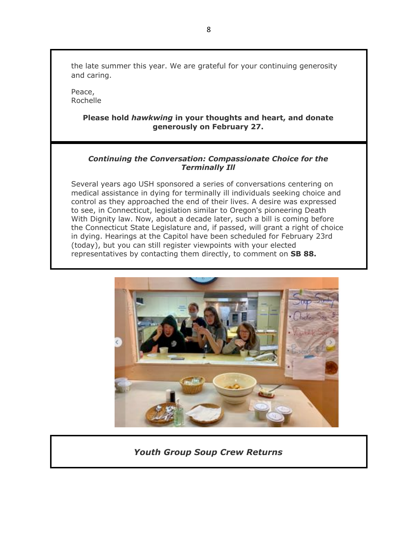the late summer this year. We are grateful for your continuing generosity and caring.

Peace, Rochelle

#### **Please hold** *hawkwing* **in your thoughts and heart, and donate generously on February 27.**

#### *Continuing the Conversation: Compassionate Choice for the Terminally Ill*

Several years ago USH sponsored a series of conversations centering on medical assistance in dying for terminally ill individuals seeking choice and control as they approached the end of their lives. A desire was expressed to see, in Connecticut, legislation similar to Oregon's pioneering Death With Dignity law. Now, about a decade later, such a bill is coming before the Connecticut State Legislature and, if passed, will grant a right of choice in dying. Hearings at the Capitol have been scheduled for February 23rd (today), but you can still register viewpoints with your elected representatives by contacting them directly, to comment on **SB 88.**



## *Youth Group Soup Crew Returns*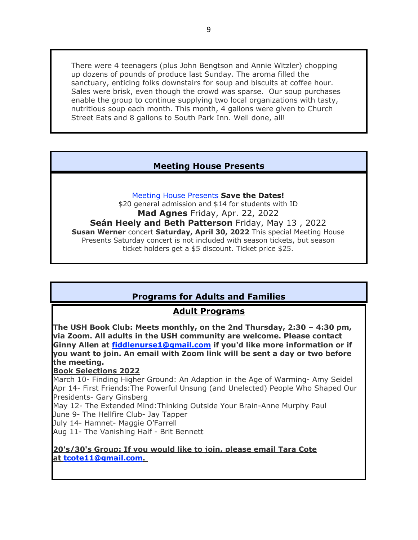There were 4 teenagers (plus John Bengtson and Annie Witzler) chopping up dozens of pounds of produce last Sunday. The aroma filled the sanctuary, enticing folks downstairs for soup and biscuits at coffee hour. Sales were brisk, even though the crowd was sparse. Our soup purchases enable the group to continue supplying two local organizations with tasty, nutritious soup each month. This month, 4 gallons were given to Church Street Eats and 8 gallons to South Park Inn. Well done, all!

# **Meeting House Presents**

Meeting House Presents **Save the Dates!**

\$20 general admission and \$14 for students with ID **Mad Agnes** Friday, Apr. 22, 2022 **Seán Heely and Beth Patterson** Friday, May 13 , 2022 **Susan Werner** concert **Saturday, April 30, 2022** This special Meeting House Presents Saturday concert is not included with season tickets, but season ticket holders get a \$5 discount. Ticket price \$25.

# **Programs for Adults and Families**

## **Adult Programs**

**The USH Book Club: Meets monthly, on the 2nd Thursday, 2:30 – 4:30 pm, via Zoom. All adults in the USH community are welcome. Please contact Ginny Allen at fiddlenurse1@gmail.com if you'd like more information or if you want to join. An email with Zoom link will be sent a day or two before the meeting.**

#### **Book Selections 2022**

March 10- Finding Higher Ground: An Adaption in the Age of Warming- Amy Seidel Apr 14- First Friends:The Powerful Unsung (and Unelected) People Who Shaped Our Presidents- Gary Ginsberg

May 12- The Extended Mind:Thinking Outside Your Brain-Anne Murphy Paul

June 9- The Hellfire Club- Jay Tapper

July 14- Hamnet- Maggie O'Farrell

Aug 11- The Vanishing Half - Brit Bennett

#### **20's/30's Group: If you would like to join, please email Tara Cote at tcote11@gmail.com.**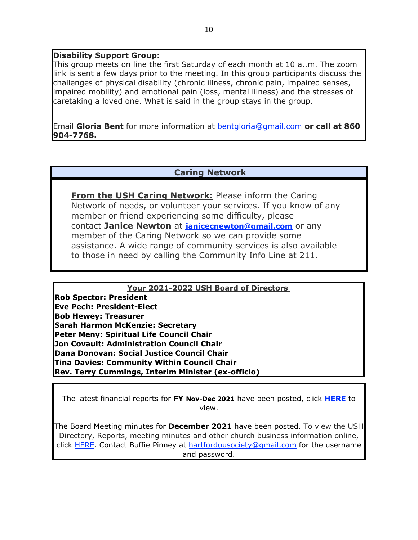#### **Disability Support Group:**

This group meets on line the first Saturday of each month at 10 a..m. The zoom link is sent a few days prior to the meeting. In this group participants discuss the challenges of physical disability (chronic illness, chronic pain, impaired senses, impaired mobility) and emotional pain (loss, mental illness) and the stresses of caretaking a loved one. What is said in the group stays in the group.

Email **Gloria Bent** for more information at bentgloria@gmail.com **or call at 860 904-7768.**

#### **Caring Network**

**From the USH Caring Network:** Please inform the Caring Network of needs, or volunteer your services. If you know of any member or friend experiencing some difficulty, please contact **Janice Newton** at **janicecnewton@gmail.com** or any member of the Caring Network so we can provide some assistance. A wide range of community services is also available to those in need by calling the Community Info Line at 211.

**Your 2021-2022 USH Board of Directors Rob Spector: President Eve Pech: President-Elect Bob Hewey: Treasurer Sarah Harmon McKenzie: Secretary Peter Meny: Spiritual Life Council Chair Jon Covault: Administration Council Chair Dana Donovan: Social Justice Council Chair Tina Davies: Community Within Council Chair Rev. Terry Cummings, Interim Minister (ex-officio)**

The latest financial reports for **FY Nov-Dec 2021** have been posted, click **HERE** to view.

The Board Meeting minutes for **December 2021** have been posted. To view the USH Directory, Reports, meeting minutes and other church business information online, click HERE. Contact Buffie Pinney at hartforduusociety@gmail.com for the username and password.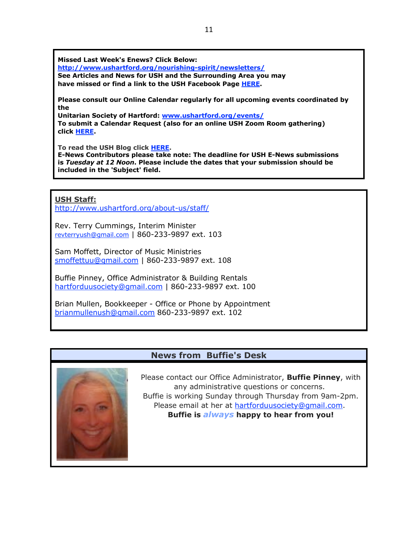**Missed Last Week's Enews? Click Below:**

**http://www.ushartford.org/nourishing-spirit/newsletters/ See Articles and News for USH and the Surrounding Area you may have missed or find a link to the USH Facebook Page HERE.**

**Please consult our Online Calendar regularly for all upcoming events coordinated by the**

**Unitarian Society of Hartford: www.ushartford.org/events/ To submit a Calendar Request (also for an online USH Zoom Room gathering) click HERE.**

**To read the USH Blog click HERE.**

**E-News Contributors please take note: The deadline for USH E-News submissions is** *Tuesday at 12 Noon***. Please include the dates that your submission should be included in the 'Subject' field.**

**USH Staff:**

http://www.ushartford.org/about-us/staff/

Rev. Terry Cummings, Interim Minister revterryush@gmail.com | 860-233-9897 ext. 103

Sam Moffett, Director of Music Ministries smoffettuu@gmail.com | 860-233-9897 ext. 108

Buffie Pinney, Office Administrator & Building Rentals hartforduusociety@gmail.com | 860-233-9897 ext. 100

Brian Mullen, Bookkeeper - Office or Phone by Appointment brianmullenush@gmail.com 860-233-9897 ext. 102

#### **News from Buffie's Desk**



Please contact our Office Administrator, **Buffie Pinney**, with any administrative questions or concerns. Buffie is working Sunday through Thursday from 9am-2pm. Please email at her at hartforduusociety@gmail.com. **Buffie is** *always* **happy to hear from you!**